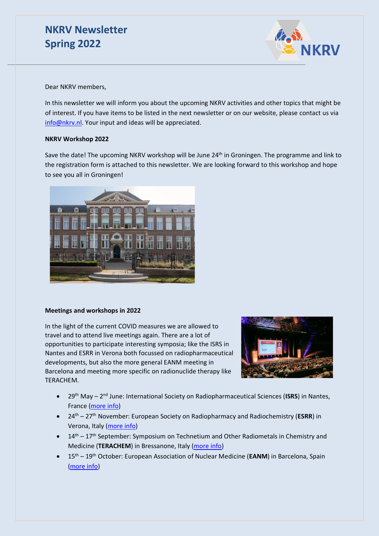# **NKRV Newsletter Spring 2022**



Dear NKRV members,

In this newsletter we will inform you about the upcoming NKRV activities and other topics that might be of interest. If you have items to be listed in the next newsletter or on our website, please contact us via [info@nkrv.nl.](mailto:info@nkrv.nl) Your input and ideas will be appreciated.

## **NKRV Workshop 2022**

Save the date! The upcoming NKRV workshop will be June 24<sup>th</sup> in Groningen. The programme and link to the registration form is attached to this newsletter. We are looking forward to this workshop and hope to see you all in Groningen!



### **Meetings and workshops in 2022**

In the light of the current COVID measures we are allowed to travel and to attend live meetings again. There are a lot of opportunities to participate interesting symposia; like the ISRS in Nantes and ESRR in Verona both focussed on radiopharmaceutical developments, but also the more general EANM meeting in Barcelona and meeting more specific on radionuclide therapy like TERACHEM.



- 29<sup>th</sup> May 2<sup>nd</sup> June: International Society on Radiopharmaceutical Sciences (ISRS) in Nantes, France [\(more info\)](https://www.srsweb.org/isrs2022)
- 24th 27th November: European Society on Radiopharmacy and Radiochemistry (**ESRR**) in Verona, Italy [\(more info\)](https://www.esrr.info/)
- $\bullet$  14<sup>th</sup> 17<sup>th</sup> September: Symposium on Technetium and Other Radiometals in Chemistry and Medicine (**TERACHEM**) in Bressanone, Italy [\(more info\)](https://www.srsweb.org/terachem2022)
- 15th 19th October: European Association of Nuclear Medicine (**EANM**) in Barcelona, Spain [\(more info\)](https://www.eanm.org/congresses-events/future-congress/)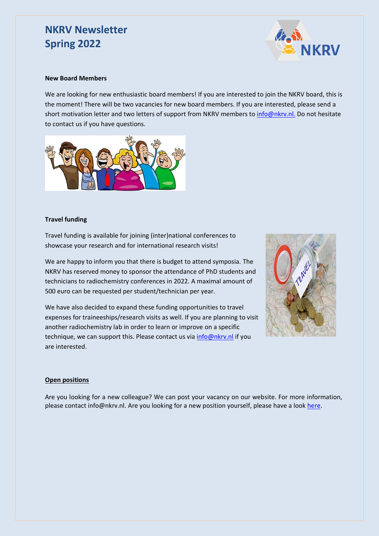## **NKRV Newsletter Spring 2022**



### **New Board Members**

We are looking for new enthusiastic board members! If you are interested to join the NKRV board, this is the moment! There will be two vacancies for new board members. If you are interested, please send a short motivation letter and two letters of support from NKRV members to info@nkry.nl. Do not hesitate to contact us if you have questions.



### **Travel funding**

Travel funding is available for joining (inter)national conferences to showcase your research and for international research visits!

We are happy to inform you that there is budget to attend symposia. The NKRV has reserved money to sponsor the attendance of PhD students and technicians to radiochemistry conferences in 2022. A maximal amount of 500 euro can be requested per student/technician per year.

We have also decided to expand these funding opportunities to travel expenses for traineeships/research visits as well. If you are planning to visit another radiochemistry lab in order to learn or improve on a specific technique, we can support this. Please contact us via [info@nkrv.nl](mailto:info@nkrv.nl) if you are interested.



## **Open positions**

Are you looking for a new colleague? We can post your vacancy on our website. For more information, please contact info@nkrv.nl. Are you looking for a new position yourself, please have a look [here.](https://www.nkrv.nl/vacancies/)